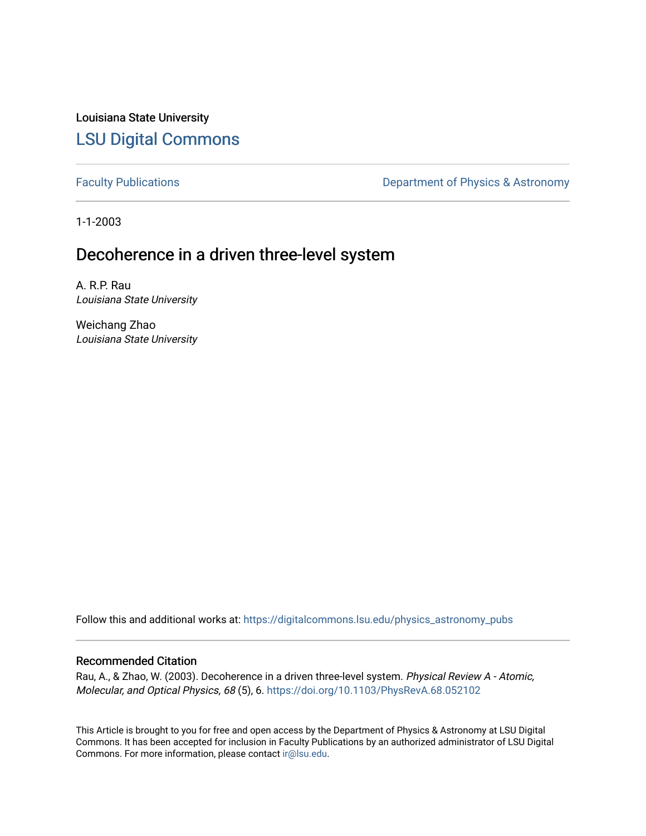Louisiana State University [LSU Digital Commons](https://digitalcommons.lsu.edu/)

[Faculty Publications](https://digitalcommons.lsu.edu/physics_astronomy_pubs) **Exercise 2** Constant Department of Physics & Astronomy

1-1-2003

# Decoherence in a driven three-level system

A. R.P. Rau Louisiana State University

Weichang Zhao Louisiana State University

Follow this and additional works at: [https://digitalcommons.lsu.edu/physics\\_astronomy\\_pubs](https://digitalcommons.lsu.edu/physics_astronomy_pubs?utm_source=digitalcommons.lsu.edu%2Fphysics_astronomy_pubs%2F4526&utm_medium=PDF&utm_campaign=PDFCoverPages) 

# Recommended Citation

Rau, A., & Zhao, W. (2003). Decoherence in a driven three-level system. Physical Review A - Atomic, Molecular, and Optical Physics, 68 (5), 6.<https://doi.org/10.1103/PhysRevA.68.052102>

This Article is brought to you for free and open access by the Department of Physics & Astronomy at LSU Digital Commons. It has been accepted for inclusion in Faculty Publications by an authorized administrator of LSU Digital Commons. For more information, please contact [ir@lsu.edu](mailto:ir@lsu.edu).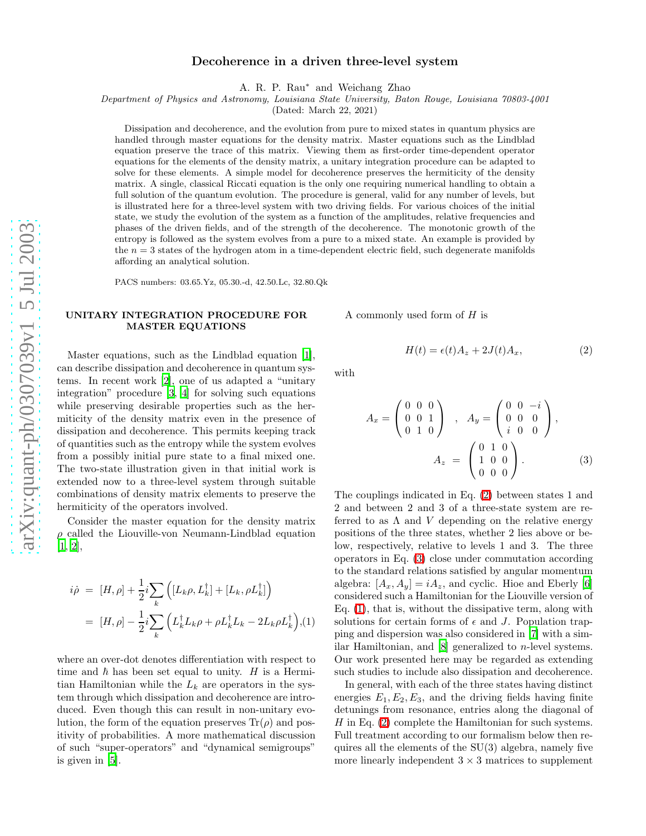## Decoherence in a driven three-level system

A. R. P. Rau ∗ and Weichang Zhao

Department of Physics and Astronomy, Louisiana State University, Baton Rouge, Louisiana 70803-4001

(Dated: March 22, 2021)

Dissipation and decoherence, and the evolution from pure to mixed states in quantum physics are handled through master equations for the density matrix. Master equations such as the Lindblad equation preserve the trace of this matrix. Viewing them as first-order time-dependent operator equations for the elements of the density matrix, a unitary integration procedure can be adapted to solve for these elements. A simple model for decoherence preserves the hermiticity of the density matrix. A single, classical Riccati equation is the only one requiring numerical handling to obtain a full solution of the quantum evolution. The procedure is general, valid for any number of levels, but is illustrated here for a three-level system with two driving fields. For various choices of the initial state, we study the evolution of the system as a function of the amplitudes, relative frequencies and phases of the driven fields, and of the strength of the decoherence. The monotonic growth of the entropy is followed as the system evolves from a pure to a mixed state. An example is provided by the  $n = 3$  states of the hydrogen atom in a time-dependent electric field, such degenerate manifolds affording an analytical solution.

PACS numbers: 03.65.Yz, 05.30.-d, 42.50.Lc, 32.80.Qk

### UNITARY INTEGRATION PROCEDURE FOR MASTER EQUATIONS

Master equations, such as the Lindblad equation [\[1\]](#page-7-0), can describe dissipation and decoherence in quantum systems. In recent work [\[2](#page-7-1)], one of us adapted a "unitary integration" procedure [\[3](#page-7-2), [4](#page-7-3)] for solving such equations while preserving desirable properties such as the hermiticity of the density matrix even in the presence of dissipation and decoherence. This permits keeping track of quantities such as the entropy while the system evolves from a possibly initial pure state to a final mixed one. The two-state illustration given in that initial work is extended now to a three-level system through suitable combinations of density matrix elements to preserve the hermiticity of the operators involved.

Consider the master equation for the density matrix  $\rho$  called the Liouville-von Neumann-Lindblad equation [\[1,](#page-7-0) [2\]](#page-7-1),

<span id="page-1-2"></span>
$$
i\dot{\rho} = [H, \rho] + \frac{1}{2}i \sum_{k} \left( [L_{k}\rho, L_{k}^{\dagger}] + [L_{k}, \rho L_{k}^{\dagger}] \right)
$$
  

$$
= [H, \rho] - \frac{1}{2}i \sum_{k} \left( L_{k}^{\dagger} L_{k}\rho + \rho L_{k}^{\dagger} L_{k} - 2L_{k}\rho L_{k}^{\dagger} \right), (1)
$$

where an over-dot denotes differentiation with respect to time and  $\hbar$  has been set equal to unity. H is a Hermitian Hamiltonian while the  $L_k$  are operators in the system through which dissipation and decoherence are introduced. Even though this can result in non-unitary evolution, the form of the equation preserves  $\text{Tr}(\rho)$  and positivity of probabilities. A more mathematical discussion of such "super-operators" and "dynamical semigroups" is given in [\[5](#page-7-4)].

<span id="page-1-0"></span>A commonly used form of  $H$  is

<span id="page-1-1"></span>with

$$
A_x = \begin{pmatrix} 0 & 0 & 0 \\ 0 & 0 & 1 \\ 0 & 1 & 0 \end{pmatrix} , A_y = \begin{pmatrix} 0 & 0 & -i \\ 0 & 0 & 0 \\ i & 0 & 0 \end{pmatrix},
$$

$$
A_z = \begin{pmatrix} 0 & 1 & 0 \\ 1 & 0 & 0 \\ 0 & 0 & 0 \end{pmatrix}.
$$
 (3)

 $H(t) = \epsilon(t)A_z + 2J(t)A_x$ 

, (2)

The couplings indicated in Eq. [\(2\)](#page-1-0) between states 1 and 2 and between 2 and 3 of a three-state system are referred to as  $\Lambda$  and V depending on the relative energy positions of the three states, whether 2 lies above or below, respectively, relative to levels 1 and 3. The three operators in Eq. [\(3\)](#page-1-1) close under commutation according to the standard relations satisfied by angular momentum algebra:  $[A_x, A_y] = iA_z$ , and cyclic. Hioe and Eberly [\[6](#page-7-5)] considered such a Hamiltonian for the Liouville version of Eq. [\(1\)](#page-1-2), that is, without the dissipative term, along with solutions for certain forms of  $\epsilon$  and J. Population trapping and dispersion was also considered in [\[7\]](#page-7-6) with a similar Hamiltonian, and [\[8\]](#page-7-7) generalized to n-level systems. Our work presented here may be regarded as extending such studies to include also dissipation and decoherence.

In general, with each of the three states having distinct energies  $E_1, E_2, E_3$ , and the driving fields having finite detunings from resonance, entries along the diagonal of  $H$  in Eq. [\(2\)](#page-1-0) complete the Hamiltonian for such systems. Full treatment according to our formalism below then requires all the elements of the SU(3) algebra, namely five more linearly independent  $3 \times 3$  matrices to supplement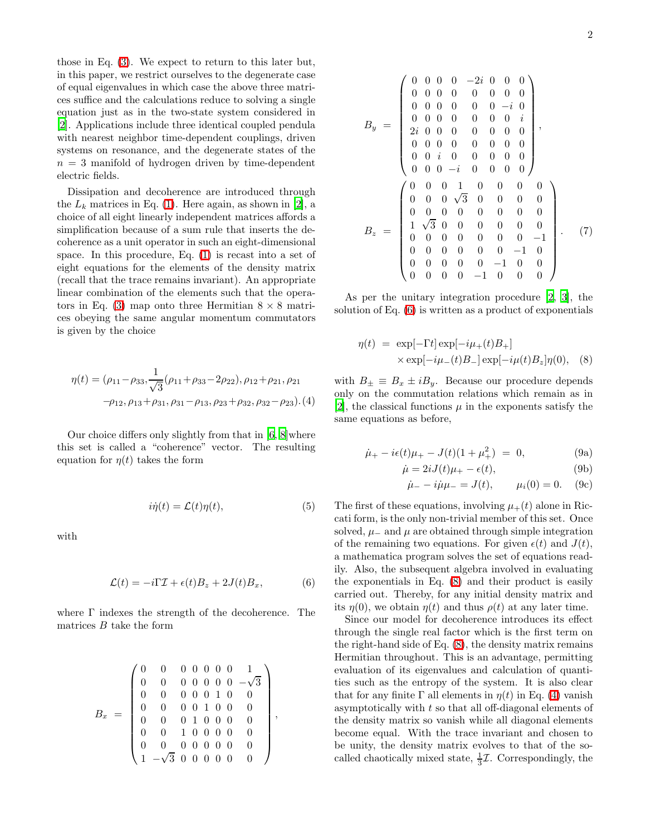those in Eq. [\(3\)](#page-1-1). We expect to return to this later but, in this paper, we restrict ourselves to the degenerate case of equal eigenvalues in which case the above three matrices suffice and the calculations reduce to solving a single equation just as in the two-state system considered in [\[2\]](#page-7-1). Applications include three identical coupled pendula with nearest neighbor time-dependent couplings, driven systems on resonance, and the degenerate states of the  $n = 3$  manifold of hydrogen driven by time-dependent electric fields.

Dissipation and decoherence are introduced through the  $L_k$  matrices in Eq. [\(1\)](#page-1-2). Here again, as shown in [\[2\]](#page-7-1), a choice of all eight linearly independent matrices affords a simplification because of a sum rule that inserts the decoherence as a unit operator in such an eight-dimensional space. In this procedure, Eq. [\(1\)](#page-1-2) is recast into a set of eight equations for the elements of the density matrix (recall that the trace remains invariant). An appropriate linear combination of the elements such that the opera-tors in Eq. [\(3\)](#page-1-1) map onto three Hermitian  $8 \times 8$  matrices obeying the same angular momentum commutators is given by the choice

<span id="page-2-2"></span>
$$
\eta(t) = (\rho_{11} - \rho_{33}, \frac{1}{\sqrt{3}}(\rho_{11} + \rho_{33} - 2\rho_{22}), \rho_{12} + \rho_{21}, \rho_{21} -\rho_{12}, \rho_{13} + \rho_{31}, \rho_{31} - \rho_{13}, \rho_{23} + \rho_{32}, \rho_{32} - \rho_{23}).
$$
(4)

Our choice differs only slightly from that in [\[6](#page-7-5), [8\]](#page-7-7)where this set is called a "coherence" vector. The resulting equation for  $\eta(t)$  takes the form

$$
i\dot{\eta}(t) = \mathcal{L}(t)\eta(t),\tag{5}
$$

<span id="page-2-0"></span>with

$$
\mathcal{L}(t) = -i\Gamma \mathcal{I} + \epsilon(t)B_z + 2J(t)B_x, \tag{6}
$$

where Γ indexes the strength of the decoherence. The matrices  $B$  take the form

$$
B_x \ = \ \left(\begin{array}{cccccc} 0 & 0 & 0 & 0 & 0 & 0 & 0 & 1 \\ 0 & 0 & 0 & 0 & 0 & 0 & 0 & -\sqrt{3} \\ 0 & 0 & 0 & 0 & 0 & 1 & 0 & 0 \\ 0 & 0 & 0 & 0 & 1 & 0 & 0 & 0 \\ 0 & 0 & 0 & 1 & 0 & 0 & 0 & 0 \\ 0 & 0 & 1 & 0 & 0 & 0 & 0 & 0 \\ 0 & 0 & 0 & 0 & 0 & 0 & 0 & 0 \\ 1 & -\sqrt{3} & 0 & 0 & 0 & 0 & 0 & 0 \end{array}\right),
$$

$$
B_{y} = \begin{pmatrix} 0 & 0 & 0 & 0 & -2i & 0 & 0 & 0 \\ 0 & 0 & 0 & 0 & 0 & 0 & 0 & 0 \\ 0 & 0 & 0 & 0 & 0 & 0 & -i & 0 \\ 0 & 0 & 0 & 0 & 0 & 0 & 0 & i \\ 2i & 0 & 0 & 0 & 0 & 0 & 0 & 0 \\ 0 & 0 & 0 & 0 & 0 & 0 & 0 & 0 \\ 0 & 0 & i & 0 & 0 & 0 & 0 & 0 \\ 0 & 0 & 0 & -i & 0 & 0 & 0 & 0 \\ 0 & 0 & 0 & \sqrt{3} & 0 & 0 & 0 & 0 \\ 0 & 0 & 0 & 0 & 0 & 0 & 0 & 0 \\ 1 & \sqrt{3} & 0 & 0 & 0 & 0 & 0 & 0 \\ 0 & 0 & 0 & 0 & 0 & 0 & 0 & -1 & 0 \\ 0 & 0 & 0 & 0 & 0 & -1 & 0 & 0 \\ 0 & 0 & 0 & 0 & 0 & -1 & 0 & 0 \\ 0 & 0 & 0 & 0 & 0 & -1 & 0 & 0 \end{pmatrix}.
$$
 (7)

As per the unitary integration procedure [\[2,](#page-7-1) [3\]](#page-7-2), the solution of Eq. [\(6\)](#page-2-0) is written as a product of exponentials

$$
\eta(t) = \exp[-\Gamma t] \exp[-i\mu_+(t)B_+]
$$
  
 
$$
\times \exp[-i\mu_-(t)B_-] \exp[-i\mu(t)B_z]\eta(0), \quad (8)
$$

<span id="page-2-1"></span>with  $B_{\pm} \equiv B_x \pm iB_y$ . Because our procedure depends only on the commutation relations which remain as in [\[2\]](#page-7-1), the classical functions  $\mu$  in the exponents satisfy the same equations as before,

$$
\dot{\mu}_{+} - i\epsilon(t)\mu_{+} - J(t)(1 + \mu_{+}^{2}) = 0, \qquad (9a)
$$

$$
\dot{\mu} = 2iJ(t)\mu_{+} - \epsilon(t),\tag{9b}
$$

$$
\dot{\mu}_- - i\dot{\mu}\mu_- = J(t), \qquad \mu_i(0) = 0.
$$
 (9c)

The first of these equations, involving  $\mu_{+}(t)$  alone in Riccati form, is the only non-trivial member of this set. Once solved,  $\mu_-\$  and  $\mu$  are obtained through simple integration of the remaining two equations. For given  $\epsilon(t)$  and  $J(t)$ , a mathematica program solves the set of equations readily. Also, the subsequent algebra involved in evaluating the exponentials in Eq. [\(8\)](#page-2-1) and their product is easily carried out. Thereby, for any initial density matrix and its  $\eta(0)$ , we obtain  $\eta(t)$  and thus  $\rho(t)$  at any later time.

Since our model for decoherence introduces its effect through the single real factor which is the first term on the right-hand side of Eq. [\(8\)](#page-2-1), the density matrix remains Hermitian throughout. This is an advantage, permitting evaluation of its eigenvalues and calculation of quantities such as the entropy of the system. It is also clear that for any finite  $\Gamma$  all elements in  $\eta(t)$  in Eq. [\(4\)](#page-2-2) vanish asymptotically with t so that all off-diagonal elements of the density matrix so vanish while all diagonal elements become equal. With the trace invariant and chosen to be unity, the density matrix evolves to that of the socalled chaotically mixed state,  $\frac{1}{3}\mathcal{I}$ . Correspondingly, the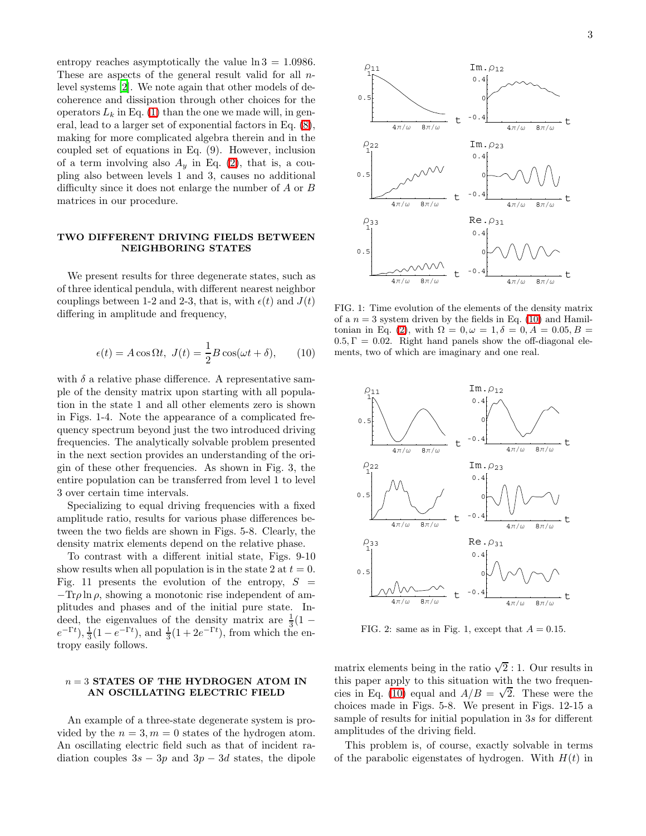entropy reaches asymptotically the value  $\ln 3 = 1.0986$ . These are aspects of the general result valid for all nlevel systems [\[2\]](#page-7-1). We note again that other models of decoherence and dissipation through other choices for the operators  $L_k$  in Eq. [\(1\)](#page-1-2) than the one we made will, in general, lead to a larger set of exponential factors in Eq. [\(8\)](#page-2-1), making for more complicated algebra therein and in the coupled set of equations in Eq. (9). However, inclusion of a term involving also  $A<sub>y</sub>$  in Eq. [\(2\)](#page-1-0), that is, a coupling also between levels 1 and 3, causes no additional difficulty since it does not enlarge the number of A or B matrices in our procedure.

#### TWO DIFFERENT DRIVING FIELDS BETWEEN NEIGHBORING STATES

<span id="page-3-0"></span>We present results for three degenerate states, such as of three identical pendula, with different nearest neighbor couplings between 1-2 and 2-3, that is, with  $\epsilon(t)$  and  $J(t)$ differing in amplitude and frequency,

$$
\epsilon(t) = A\cos\Omega t, \ J(t) = \frac{1}{2}B\cos(\omega t + \delta), \qquad (10)
$$

with  $\delta$  a relative phase difference. A representative sample of the density matrix upon starting with all population in the state 1 and all other elements zero is shown in Figs. 1-4. Note the appearance of a complicated frequency spectrum beyond just the two introduced driving frequencies. The analytically solvable problem presented in the next section provides an understanding of the origin of these other frequencies. As shown in Fig. 3, the entire population can be transferred from level 1 to level 3 over certain time intervals.

Specializing to equal driving frequencies with a fixed amplitude ratio, results for various phase differences between the two fields are shown in Figs. 5-8. Clearly, the density matrix elements depend on the relative phase.

To contrast with a different initial state, Figs. 9-10 show results when all population is in the state 2 at  $t = 0$ . Fig. 11 presents the evolution of the entropy,  $S =$  $-\text{Tr}\rho \ln \rho$ , showing a monotonic rise independent of amplitudes and phases and of the initial pure state. Indeed, the eigenvalues of the density matrix are  $\frac{1}{3}(1-\sqrt{2})$  $(e^{-\Gamma t}), \frac{1}{3}(1 - e^{-\Gamma t}),$  and  $\frac{1}{3}(1 + 2e^{-\Gamma t})$ , from which the entropy easily follows.

### $n = 3$  STATES OF THE HYDROGEN ATOM IN AN OSCILLATING ELECTRIC FIELD

An example of a three-state degenerate system is provided by the  $n = 3, m = 0$  states of the hydrogen atom. An oscillating electric field such as that of incident radiation couples  $3s - 3p$  and  $3p - 3d$  states, the dipole



FIG. 1: Time evolution of the elements of the density matrix of a  $n = 3$  system driven by the fields in Eq. [\(10\)](#page-3-0) and Hamil-tonian in Eq. [\(2\)](#page-1-0), with  $\Omega = 0, \omega = 1, \delta = 0, A = 0.05, B =$  $0.5, \Gamma = 0.02$ . Right hand panels show the off-diagonal elements, two of which are imaginary and one real.



FIG. 2: same as in Fig. 1, except that  $A = 0.15$ .

matrix elements being in the ratio  $\sqrt{2}$ : 1. Our results in this paper apply to this situation with the two frequen-cies in Eq. [\(10\)](#page-3-0) equal and  $A/B = \sqrt{2}$ . These were the choices made in Figs. 5-8. We present in Figs. 12-15 a sample of results for initial population in 3s for different amplitudes of the driving field.

This problem is, of course, exactly solvable in terms of the parabolic eigenstates of hydrogen. With  $H(t)$  in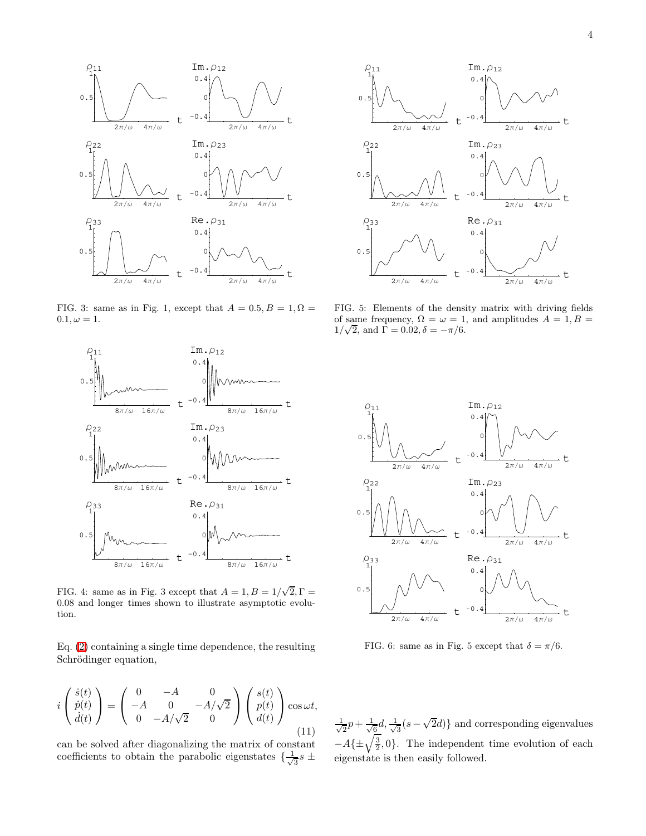

FIG. 3: same as in Fig. 1, except that  $A = 0.5, B = 1, \Omega =$  $0.1, \omega = 1.$ 



FIG. 4: same as in Fig. 3 except that  $A = 1, B = 1/\sqrt{2}, \Gamma =$ 0.08 and longer times shown to illustrate asymptotic evolution.

Eq. [\(2\)](#page-1-0) containing a single time dependence, the resulting Schrödinger equation,

$$
i\begin{pmatrix} \dot{s}(t) \\ \dot{p}(t) \\ \dot{d}(t) \end{pmatrix} = \begin{pmatrix} 0 & -A & 0 \\ -A & 0 & -A/\sqrt{2} \\ 0 & -A/\sqrt{2} & 0 \end{pmatrix} \begin{pmatrix} s(t) \\ p(t) \\ d(t) \end{pmatrix} \cos \omega t,
$$
\n(11)

can be solved after diagonalizing the matrix of constant coefficients to obtain the parabolic eigenstates  $\{\frac{1}{\sqrt{2}}\}$  $\frac{1}{3}s$   $\pm$ 



FIG. 5: Elements of the density matrix with driving fields of same frequency,  $\Omega = \omega = 1$ , and amplitudes  $A = 1, B =$  $1/\sqrt{2}$ , and  $\Gamma = 0.02$ ,  $\delta = -\pi/6$ .



FIG. 6: same as in Fig. 5 except that  $\delta = \pi/6$ .

√ 1  $\frac{1}{2}p + \frac{1}{\sqrt{2}}$  $\frac{1}{6}d, \frac{1}{\sqrt{2}}$  $\frac{1}{3}(s-\sqrt{2}d)\}$  and corresponding eigenvalues  $-A{\pm \sqrt{\frac{3}{2}},0}.$  The independent time evolution of each eigenstate is then easily followed.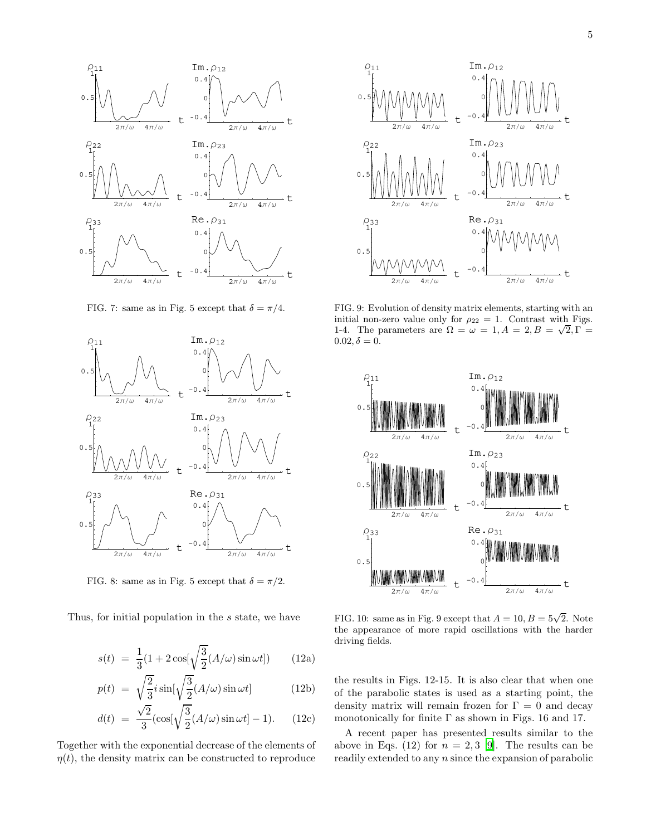

FIG. 7: same as in Fig. 5 except that  $\delta = \pi/4$ .



FIG. 8: same as in Fig. 5 except that  $\delta = \pi/2$ .

Thus, for initial population in the s state, we have

$$
s(t) = \frac{1}{3}(1 + 2\cos[\sqrt{\frac{3}{2}}(A/\omega)\sin \omega t])
$$
 (12a)

$$
p(t) = \sqrt{\frac{2}{3}}i\sin[\sqrt{\frac{3}{2}}(A/\omega)\sin\omega t] \tag{12b}
$$

$$
d(t) = \frac{\sqrt{2}}{3} \left( \cos\left[\sqrt{\frac{3}{2}} (A/\omega)\sin \omega t\right] - 1 \right). \tag{12c}
$$

Together with the exponential decrease of the elements of  $\eta(t)$ , the density matrix can be constructed to reproduce



FIG. 9: Evolution of density matrix elements, starting with an initial non-zero value only for  $\rho_{22} = 1$ . Contrast with Figs. 1-4. The parameters are  $\Omega = \omega = 1, A = 2, B = \sqrt{2}, \Gamma =$  $0.02, \delta = 0.$ 



FIG. 10: same as in Fig. 9 except that  $A = 10, B = 5\sqrt{2}$ . Note the appearance of more rapid oscillations with the harder driving fields.

the results in Figs. 12-15. It is also clear that when one of the parabolic states is used as a starting point, the density matrix will remain frozen for  $\Gamma = 0$  and decay monotonically for finite  $\Gamma$  as shown in Figs. 16 and 17.

A recent paper has presented results similar to the above in Eqs. (12) for  $n = 2, 3$  [\[9\]](#page-7-8). The results can be readily extended to any n since the expansion of parabolic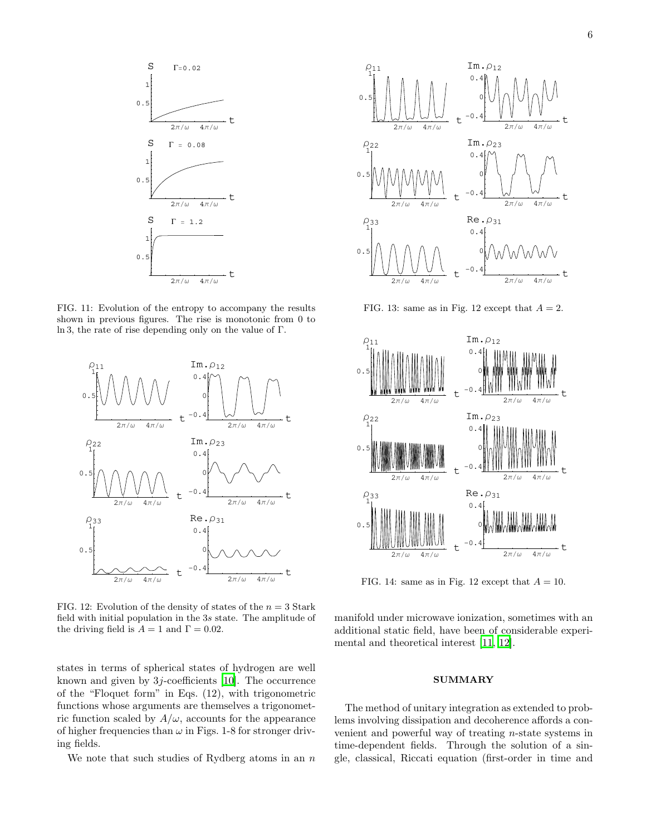

FIG. 11: Evolution of the entropy to accompany the results shown in previous figures. The rise is monotonic from 0 to ln 3, the rate of rise depending only on the value of Γ.



FIG. 12: Evolution of the density of states of the  $n = 3$  Stark field with initial population in the 3s state. The amplitude of the driving field is  $A = 1$  and  $\Gamma = 0.02$ .

states in terms of spherical states of hydrogen are well known and given by 3j-coefficients [\[10\]](#page-8-0). The occurrence of the "Floquet form" in Eqs. (12), with trigonometric functions whose arguments are themselves a trigonometric function scaled by  $A/\omega$ , accounts for the appearance of higher frequencies than  $\omega$  in Figs. 1-8 for stronger driving fields.

We note that such studies of Rydberg atoms in an  $n$ 



FIG. 13: same as in Fig. 12 except that  $A = 2$ .



FIG. 14: same as in Fig. 12 except that  $A = 10$ .

manifold under microwave ionization, sometimes with an additional static field, have been of considerable experimental and theoretical interest [\[11](#page-8-1), [12](#page-8-2)].

#### **SUMMARY**

The method of unitary integration as extended to problems involving dissipation and decoherence affords a convenient and powerful way of treating n-state systems in time-dependent fields. Through the solution of a single, classical, Riccati equation (first-order in time and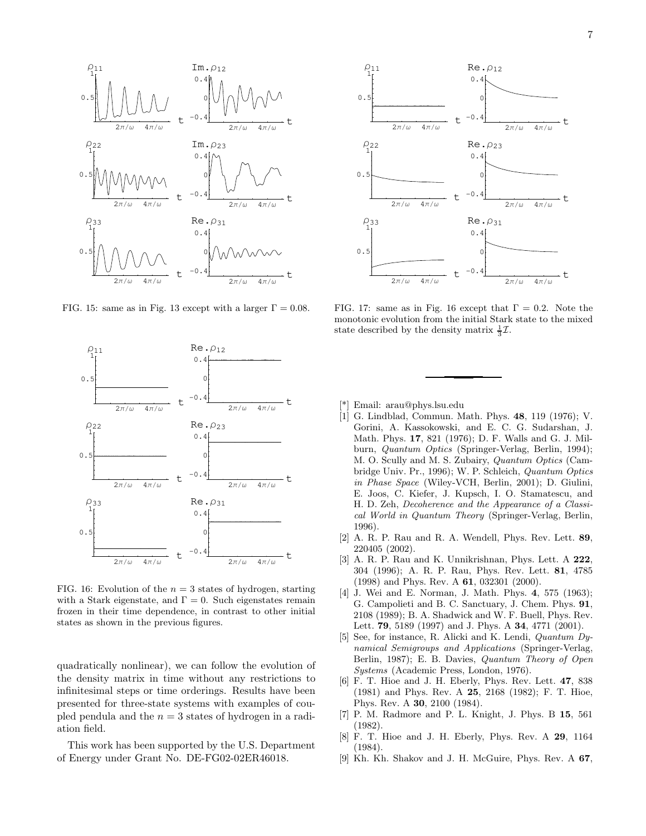

FIG. 15: same as in Fig. 13 except with a larger  $\Gamma = 0.08$ .



FIG. 16: Evolution of the  $n = 3$  states of hydrogen, starting with a Stark eigenstate, and  $\Gamma = 0$ . Such eigenstates remain frozen in their time dependence, in contrast to other initial states as shown in the previous figures.

quadratically nonlinear), we can follow the evolution of the density matrix in time without any restrictions to infinitesimal steps or time orderings. Results have been presented for three-state systems with examples of coupled pendula and the  $n = 3$  states of hydrogen in a radiation field.

This work has been supported by the U.S. Department of Energy under Grant No. DE-FG02-02ER46018.



FIG. 17: same as in Fig. 16 except that  $\Gamma = 0.2$ . Note the monotonic evolution from the initial Stark state to the mixed state described by the density matrix  $\frac{1}{3}\mathcal{I}$ .

- [\*] Email: arau@phys.lsu.edu
- <span id="page-7-0"></span>[1] G. Lindblad, Commun. Math. Phys. 48, 119 (1976); V. Gorini, A. Kassokowski, and E. C. G. Sudarshan, J. Math. Phys. 17, 821 (1976); D. F. Walls and G. J. Milburn, Quantum Optics (Springer-Verlag, Berlin, 1994); M. O. Scully and M. S. Zubairy, Quantum Optics (Cambridge Univ. Pr., 1996); W. P. Schleich, Quantum Optics in Phase Space (Wiley-VCH, Berlin, 2001); D. Giulini, E. Joos, C. Kiefer, J. Kupsch, I. O. Stamatescu, and H. D. Zeh, Decoherence and the Appearance of a Classical World in Quantum Theory (Springer-Verlag, Berlin, 1996).
- <span id="page-7-1"></span>[2] A. R. P. Rau and R. A. Wendell, Phys. Rev. Lett. 89, 220405 (2002).
- <span id="page-7-2"></span>[3] A. R. P. Rau and K. Unnikrishnan, Phys. Lett. A 222, 304 (1996); A. R. P. Rau, Phys. Rev. Lett. 81, 4785 (1998) and Phys. Rev. A 61, 032301 (2000).
- <span id="page-7-3"></span>[4] J. Wei and E. Norman, J. Math. Phys. 4, 575 (1963); G. Campolieti and B. C. Sanctuary, J. Chem. Phys. 91, 2108 (1989); B. A. Shadwick and W. F. Buell, Phys. Rev. Lett. **79**, 5189 (1997) and J. Phys. A **34**, 4771 (2001).
- <span id="page-7-4"></span>[5] See, for instance, R. Alicki and K. Lendi, Quantum Dynamical Semigroups and Applications (Springer-Verlag, Berlin, 1987); E. B. Davies, Quantum Theory of Open Systems (Academic Press, London, 1976).
- <span id="page-7-5"></span>[6] F. T. Hioe and J. H. Eberly, Phys. Rev. Lett. 47, 838 (1981) and Phys. Rev. A 25, 2168 (1982); F. T. Hioe, Phys. Rev. A 30, 2100 (1984).
- <span id="page-7-6"></span>[7] P. M. Radmore and P. L. Knight, J. Phys. B 15, 561 (1982).
- <span id="page-7-7"></span>[8] F. T. Hioe and J. H. Eberly, Phys. Rev. A 29, 1164 (1984).
- <span id="page-7-8"></span>[9] Kh. Kh. Shakov and J. H. McGuire, Phys. Rev. A 67,